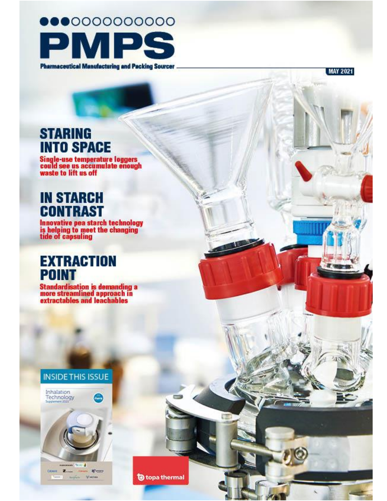

**MAY 2021** 

## **STARING INTO SPACE**

Single-use temperature loggers<br>could see us accumulate enough<br>waste to lift us off

## **IN STARCH CONTRAST**

Innovative pea starch technology<br>is helping to meet the changing<br>tide of capsuling

### **EXTRACTION POINT**

Standardisation is demanding a<br>more streamlined approach in<br>extractables and leachables







topa thermal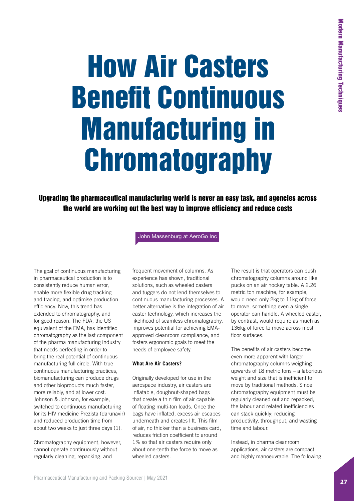# How Air Casters Benefit Continuous Manufacturing in **Chromatography**

Upgrading the pharmaceutical manufacturing world is never an easy task, and agencies across the world are working out the best way to improve efficiency and reduce costs

John Massenburg at AeroGo Inc

The goal of continuous manufacturing in pharmaceutical production is to consistently reduce human error, enable more flexible drug tracking and tracing, and optimise production efficiency. Now, this trend has extended to chromatography, and for good reason. The FDA, the US equivalent of the EMA, has identified chromatography as the last component of the pharma manufacturing industry that needs perfecting in order to bring the real potential of continuous manufacturing full circle. With true continuous manufacturing practices, biomanufacturing can produce drugs and other bioproducts much faster, more reliably, and at lower cost. Johnson & Johnson, for example, switched to continuous manufacturing for its HIV medicine Prezista (darunavir) and reduced production time from about two weeks to just three days (1).

Chromatography equipment, however, cannot operate continuously without regularly cleaning, repacking, and

frequent movement of columns. As experience has shown, traditional solutions, such as wheeled casters and tuggers do not lend themselves to continuous manufacturing processes. A better alternative is the integration of air caster technology, which increases the likelihood of seamless chromatography, improves potential for achieving EMAapproved cleanroom compliance, and fosters ergonomic goals to meet the needs of employee safety.

#### **What Are Air Casters?**

Originally developed for use in the aerospace industry, air casters are inflatable, doughnut-shaped bags that create a thin film of air capable of floating multi-ton loads. Once the bags have inflated, excess air escapes underneath and creates lift. This film of air, no thicker than a business card, reduces friction coefficient to around 1% so that air casters require only about one-tenth the force to move as wheeled casters.

The result is that operators can push chromatography columns around like pucks on an air hockey table. A 2.26 metric ton machine, for example, would need only 2kg to 11kg of force to move, something even a single operator can handle. A wheeled caster, by contrast, would require as much as 136kg of force to move across most floor surfaces.

The benefits of air casters become even more apparent with larger chromatography columns weighing upwards of 18 metric tons – a laborious weight and size that is inefficient to move by traditional methods. Since chromatography equipment must be regularly cleaned out and repacked, the labour and related inefficiencies can stack quickly; reducing productivity, throughput, and wasting time and labour.

Instead, in pharma cleanroom applications, air casters are compact and highly manoeuvrable. The following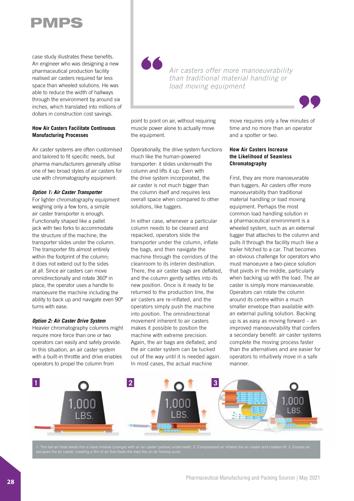## PMPS

case study illustrates these benefits. An engineer who was designing a new pharmaceutical production facility realised air casters required far less space than wheeled solutions. He was able to reduce the width of hallways through the environment by around six inches, which translated into millions of dollars in construction cost savings.

#### **How Air Casters Facilitate Continuous Manufacturing Processes**

Air caster systems are often customised and tailored to fit specific needs, but pharma manufacturers generally utilise one of two broad styles of air casters for use with chromatography equipment:

#### *Option 1: Air Caster Transporter*

For lighter chromatography equipment weighing only a few tons, a simple air caster transporter is enough. Functionally shaped like a pallet jack with two forks to accommodate the structure of the machine, the transporter slides under the column. The transporter fits almost entirely within the footprint of the column; it does not extend out to the sides at all. Since air casters can move omnidirectionally and rotate 360º in place, the operator uses a handle to manoeuvre the machine including the ability to back up and navigate even 90º turns with ease.

#### *Option 2: Air Caster Drive System*

Heavier chromatography columns might require more force than one or two operators can easily and safely provide. In this situation, an air caster system with a built-in throttle and drive enables operators to propel the column from

*Air casters offer more manoeuvrability than traditional material handling or load moving equipment*



point to point on air, without requiring muscle power alone to actually move the equipment.

Operationally, the drive system functions much like the human-powered transporter: it slides underneath the column and lifts it up. Even with the drive system incorporated, the air caster is not much bigger than the column itself and requires less overall space when compared to other solutions, like tuggers.

In either case, whenever a particular column needs to be cleaned and repacked, operators slide the transporter under the column, inflate the bags, and then navigate the machine through the corridors of the cleanroom to its interim destination. There, the air caster bags are deflated, and the column gently settles into its new position. Once is it ready to be returned to the production line, the air casters are re-inflated, and the operators simply push the machine into position. The omnidirectional movement inherent to air casters makes it possible to position the machine with extreme precision. Again, the air bags are deflated, and the air caster system can be tucked out of the way until it is needed again. In most cases, the actual machine

move requires only a few minutes of time and no more than an operator and a spotter or two.

#### **How Air Casters Increase the Likelihood of Seamless Chromatography**

First, they are more manoeuvrable than tuggers. Air casters offer more manoeuvrability than traditional material handling or load moving equipment. Perhaps the most common load handling solution in a pharmaceutical environment is a wheeled system, such as an external tugger that attaches to the column and pulls it through the facility much like a trailer hitched to a car. That becomes an obvious challenge for operators who must manoeuvre a two-piece solution that pivots in the middle, particularly when backing up with the load. The air caster is simply more manoeuvrable. Operators can rotate the column around its centre within a much smaller envelope than available with an external pulling solution. Backing up is as easy as moving forward – an improved manoeuvrability that confers a secondary benefit: air caster systems complete the moving process faster than the alternatives and are easier for operators to intuitively move in a safe manner.



.<br>1. ath. 2. Compressed air inflates the air caster and creates lift. 3. Excess air reeds into a base module (orange) with an air caster (yellow<br>ster, creating a film of air that floats the load like an air hockey